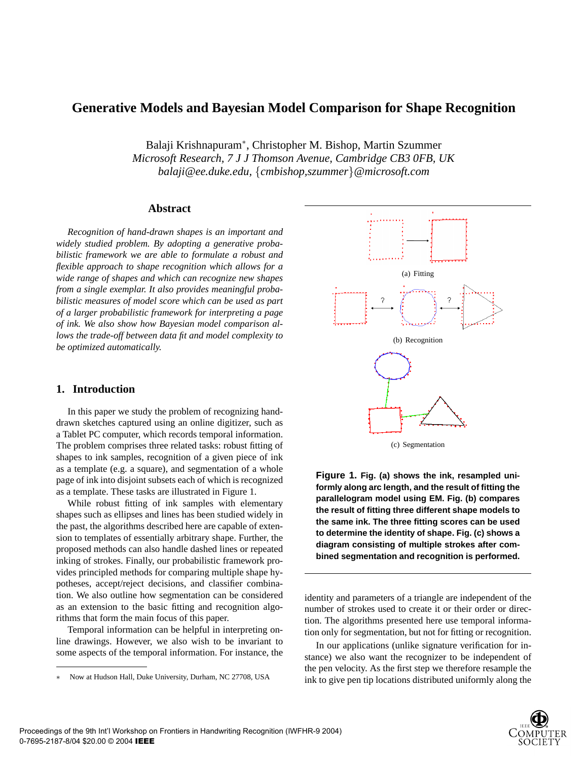# **Generative Models and Bayesian Model Comparison for Shape Recognition**

Balaji Krishnapuram<sup>∗</sup>, Christopher M. Bishop, Martin Szummer *Microsoft Research, 7 J J Thomson Avenue, Cambridge CB3 0FB, UK balaji@ee.duke.edu,* {*cmbishop,szummer*}*@microsoft.com*

## **Abstract**

*Recognition of hand-drawn shapes is an important and widely studied problem. By adopting a generative probabilistic framework we are able to formulate a robust and flexible approach to shape recognition which allows for a wide range of shapes and which can recognize new shapes from a single exemplar. It also provides meaningful probabilistic measures of model score which can be used as part of a larger probabilistic framework for interpreting a page of ink. We also show how Bayesian model comparison allows the trade-off between data fit and model complexity to be optimized automatically.*

## **1. Introduction**

In this paper we study the problem of recognizing handdrawn sketches captured using an online digitizer, such as a Tablet PC computer, which records temporal information. The problem comprises three related tasks: robust fitting of shapes to ink samples, recognition of a given piece of ink as a template (e.g. a square), and segmentation of a whole page of ink into disjoint subsets each of which is recognized as a template. These tasks are illustrated in Figure 1.

While robust fitting of ink samples with elementary shapes such as ellipses and lines has been studied widely in the past, the algorithms described here are capable of extension to templates of essentially arbitrary shape. Further, the proposed methods can also handle dashed lines or repeated inking of strokes. Finally, our probabilistic framework provides principled methods for comparing multiple shape hypotheses, accept/reject decisions, and classifier combination. We also outline how segmentation can be considered as an extension to the basic fitting and recognition algorithms that form the main focus of this paper.

Temporal information can be helpful in interpreting online drawings. However, we also wish to be invariant to some aspects of the temporal information. For instance, the



**Figure 1. Fig. (a) shows the ink, resampled uniformly along arc length, and the result of fitting the parallelogram model using EM. Fig. (b) compares the result of fitting three different shape models to the same ink. The three fitting scores can be used to determine the identity of shape. Fig. (c) shows a diagram consisting of multiple strokes after combined segmentation and recognition is performed.**

identity and parameters of a triangle are independent of the number of strokes used to create it or their order or direction. The algorithms presented here use temporal information only for segmentation, but not for fitting or recognition.

In our applications (unlike signature verification for instance) we also want the recognizer to be independent of the pen velocity. As the first step we therefore resample the ink to give pen tip locations distributed uniformly along the



Now at Hudson Hall, Duke University, Durham, NC 27708, USA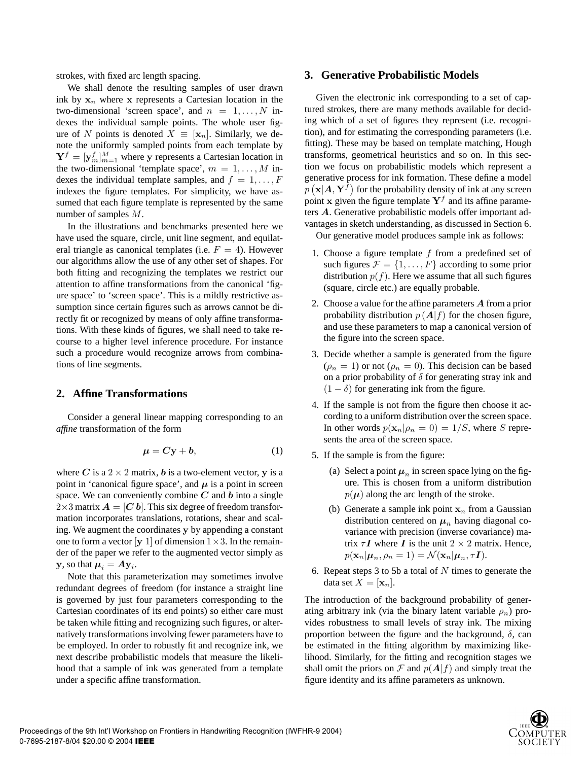strokes, with fixed arc length spacing.

We shall denote the resulting samples of user drawn ink by  $x_n$  where x represents a Cartesian location in the two-dimensional 'screen space', and  $n = 1, \ldots, N$  indexes the individual sample points. The whole user figure of N points is denoted  $X \equiv [\mathbf{x}_n]$ . Similarly, we denote the uniformly sampled points from each template by  $\mathbf{Y}^{f} = [\mathbf{y}_{m}^{f}]_{m=1}^{M}$  where y represents a Cartesian location in the two-dimensional 'template space',  $m = 1, \ldots, M$  indexes the individual template samples, and  $f = 1, \ldots, F$ indexes the figure templates. For simplicity, we have assumed that each figure template is represented by the same number of samples M.

In the illustrations and benchmarks presented here we have used the square, circle, unit line segment, and equilateral triangle as canonical templates (i.e.  $F = 4$ ). However our algorithms allow the use of any other set of shapes. For both fitting and recognizing the templates we restrict our attention to affine transformations from the canonical 'figure space' to 'screen space'. This is a mildly restrictive assumption since certain figures such as arrows cannot be directly fit or recognized by means of only affine transformations. With these kinds of figures, we shall need to take recourse to a higher level inference procedure. For instance such a procedure would recognize arrows from combinations of line segments.

## **2. Affine Transformations**

Consider a general linear mapping corresponding to an *affine* transformation of the form

$$
\mu = Cy + b,\tag{1}
$$

where C is a  $2 \times 2$  matrix, b is a two-element vector, y is a point in 'canonical figure space', and  $\mu$  is a point in screen space. We can conveniently combine  $C$  and  $b$  into a single  $2\times3$  matrix  $\mathbf{A} = [\mathbf{C}\mathbf{b}]$ . This six degree of freedom transformation incorporates translations, rotations, shear and scaling. We augment the coordinates y by appending a constant one to form a vector [y 1] of dimension  $1 \times 3$ . In the remainder of the paper we refer to the augmented vector simply as **y**, so that  $\mu_i = Ay_i$ .

Note that this parameterization may sometimes involve redundant degrees of freedom (for instance a straight line is governed by just four parameters corresponding to the Cartesian coordinates of its end points) so either care must be taken while fitting and recognizing such figures, or alternatively transformations involving fewer parameters have to be employed. In order to robustly fit and recognize ink, we next describe probabilistic models that measure the likelihood that a sample of ink was generated from a template under a specific affine transformation.

### **3. Generative Probabilistic Models**

Given the electronic ink corresponding to a set of captured strokes, there are many methods available for deciding which of a set of figures they represent (i.e. recognition), and for estimating the corresponding parameters (i.e. fitting). These may be based on template matching, Hough transforms, geometrical heuristics and so on. In this section we focus on probabilistic models which represent a generative process for ink formation. These define a model  $p(\mathbf{x}|\boldsymbol{A},\mathbf{Y}^f)$  for the probability density of ink at any screen point x given the figure template  $Y<sup>f</sup>$  and its affine parameters A. Generative probabilistic models offer important advantages in sketch understanding, as discussed in Section 6.

Our generative model produces sample ink as follows:

- 1. Choose a figure template  $f$  from a predefined set of such figures  $\mathcal{F} = \{1, \ldots, F\}$  according to some prior distribution  $p(f)$ . Here we assume that all such figures (square, circle etc.) are equally probable.
- 2. Choose a value for the affine parameters A from a prior probability distribution  $p(A|f)$  for the chosen figure, and use these parameters to map a canonical version of the figure into the screen space.
- 3. Decide whether a sample is generated from the figure  $(\rho_n = 1)$  or not  $(\rho_n = 0)$ . This decision can be based on a prior probability of  $\delta$  for generating stray ink and  $(1 - \delta)$  for generating ink from the figure.
- 4. If the sample is not from the figure then choose it according to a uniform distribution over the screen space. In other words  $p(\mathbf{x}_n|\rho_n = 0) = 1/S$ , where S represents the area of the screen space.
- 5. If the sample is from the figure:
	- (a) Select a point  $\mu_n$  in screen space lying on the figure. This is chosen from a uniform distribution  $p(\mu)$  along the arc length of the stroke.
	- (b) Generate a sample ink point  $x_n$  from a Gaussian distribution centered on  $\mu_n$  having diagonal covariance with precision (inverse covariance) matrix  $\tau I$  where  $I$  is the unit  $2 \times 2$  matrix. Hence,  $p(\mathbf{x}_n|\boldsymbol{\mu}_n, \rho_n = 1) = \mathcal{N}(\mathbf{x}_n|\boldsymbol{\mu}_n, \tau \mathbf{I}).$
- 6. Repeat steps 3 to 5b a total of  $N$  times to generate the data set  $X = [\mathbf{x}_n]$ .

The introduction of the background probability of generating arbitrary ink (via the binary latent variable  $\rho_n$ ) provides robustness to small levels of stray ink. The mixing proportion between the figure and the background,  $\delta$ , can be estimated in the fitting algorithm by maximizing likelihood. Similarly, for the fitting and recognition stages we shall omit the priors on F and  $p(A|f)$  and simply treat the figure identity and its affine parameters as unknown.

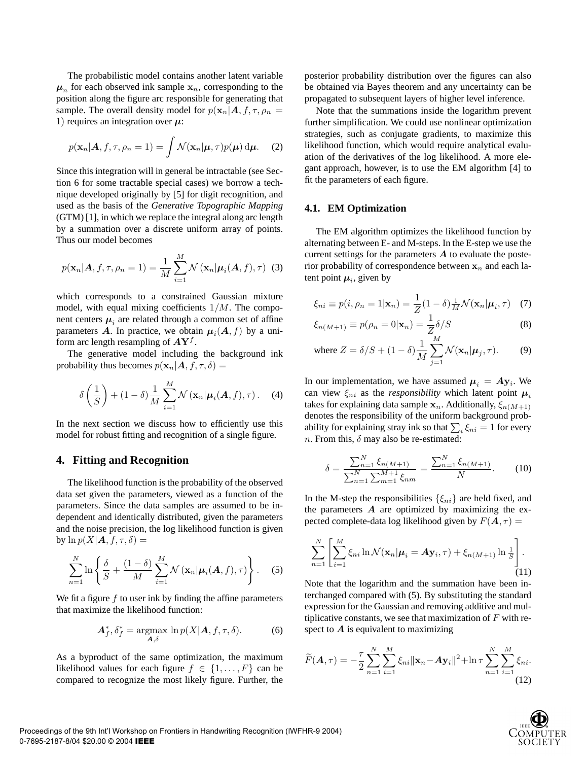The probabilistic model contains another latent variable  $\mu_n$  for each observed ink sample  $x_n$ , corresponding to the position along the figure arc responsible for generating that sample. The overall density model for  $p(\mathbf{x}_n|\mathbf{A}, f, \tau, \rho_n)$ 1) requires an integration over  $\mu$ :

$$
p(\mathbf{x}_n|\mathbf{A}, f, \tau, \rho_n = 1) = \int \mathcal{N}(\mathbf{x}_n|\boldsymbol{\mu}, \tau) p(\boldsymbol{\mu}) \,d\boldsymbol{\mu}.
$$
 (2)

Since this integration will in general be intractable (see Section 6 for some tractable special cases) we borrow a technique developed originally by [5] for digit recognition, and used as the basis of the *Generative Topographic Mapping* (GTM) [1], in which we replace the integral along arc length by a summation over a discrete uniform array of points. Thus our model becomes

$$
p(\mathbf{x}_n|\mathbf{A}, f, \tau, \rho_n = 1) = \frac{1}{M} \sum_{i=1}^{M} \mathcal{N}(\mathbf{x}_n|\boldsymbol{\mu}_i(\mathbf{A}, f), \tau) \tag{3}
$$

which corresponds to a constrained Gaussian mixture model, with equal mixing coefficients  $1/M$ . The component centers  $\mu_i$  are related through a common set of affine parameters A. In practice, we obtain  $\mu_i(A, f)$  by a uniform arc length resampling of  $AY<sup>f</sup>$ .

The generative model including the background ink probability thus becomes  $p(\mathbf{x}_n|\mathbf{A}, f, \tau, \delta) =$ 

$$
\delta\left(\frac{1}{S}\right) + (1 - \delta) \frac{1}{M} \sum_{i=1}^{M} \mathcal{N}\left(\mathbf{x}_n | \boldsymbol{\mu}_i(\boldsymbol{A}, f), \tau\right).
$$
 (4)

In the next section we discuss how to efficiently use this model for robust fitting and recognition of a single figure.

## **4. Fitting and Recognition**

The likelihood function is the probability of the observed data set given the parameters, viewed as a function of the parameters. Since the data samples are assumed to be independent and identically distributed, given the parameters and the noise precision, the log likelihood function is given by  $\ln p(X|\mathbf{A}, f, \tau, \delta) =$ 

$$
\sum_{n=1}^{N} \ln \left\{ \frac{\delta}{S} + \frac{(1-\delta)}{M} \sum_{i=1}^{M} \mathcal{N}(\mathbf{x}_n | \boldsymbol{\mu}_i(\boldsymbol{A}, f), \tau) \right\}.
$$
 (5)

We fit a figure  $f$  to user ink by finding the affine parameters that maximize the likelihood function:

$$
\mathbf{A}_f^*, \delta_f^* = \underset{\mathbf{A}, \delta}{\text{argmax}} \ln p(X|\mathbf{A}, f, \tau, \delta). \tag{6}
$$

As a byproduct of the same optimization, the maximum likelihood values for each figure  $f \in \{1, \ldots, F\}$  can be compared to recognize the most likely figure. Further, the

posterior probability distribution over the figures can also be obtained via Bayes theorem and any uncertainty can be propagated to subsequent layers of higher level inference.

Note that the summations inside the logarithm prevent further simplification. We could use nonlinear optimization strategies, such as conjugate gradients, to maximize this likelihood function, which would require analytical evaluation of the derivatives of the log likelihood. A more elegant approach, however, is to use the EM algorithm [4] to fit the parameters of each figure.

#### **4.1. EM Optimization**

The EM algorithm optimizes the likelihood function by alternating between E- and M-steps. In the E-step we use the current settings for the parameters  $\boldsymbol{A}$  to evaluate the posterior probability of correspondence between  $x_n$  and each latent point  $\mu_i$ , given by

$$
\xi_{ni} \equiv p(i, \rho_n = 1 | \mathbf{x}_n) = \frac{1}{Z} (1 - \delta) \frac{1}{M} \mathcal{N}(\mathbf{x}_n | \boldsymbol{\mu}_i, \tau) \quad (7)
$$

$$
\xi_{n(M+1)} \equiv p(\rho_n = 0 | \mathbf{x}_n) = \frac{1}{Z} \delta / S \tag{8}
$$

where 
$$
Z = \delta/S + (1 - \delta) \frac{1}{M} \sum_{j=1}^{M} \mathcal{N}(\mathbf{x}_n | \boldsymbol{\mu}_j, \tau).
$$
 (9)

In our implementation, we have assumed  $\mu_i = Ay_i$ . We can view  $\xi_{ni}$  as the *responsibility* which latent point  $\mu_i$ takes for explaining data sample  $x_n$ . Additionally,  $\xi_{n(M+1)}$ denotes the responsibility of the uniform background probability for explaining stray ink so that  $\sum_i \xi_{ni} = 1$  for every n. From this,  $\delta$  may also be re-estimated:

$$
\delta = \frac{\sum_{n=1}^{N} \xi_n(M+1)}{\sum_{n=1}^{N} \sum_{m=1}^{M+1} \xi_{nm}} = \frac{\sum_{n=1}^{N} \xi_n(M+1)}{N}.
$$
 (10)

In the M-step the responsibilities  $\{\xi_{ni}\}\$  are held fixed, and the parameters  $A$  are optimized by maximizing the expected complete-data log likelihood given by  $F(A, \tau) =$ 

$$
\sum_{n=1}^{N} \left[ \sum_{i=1}^{M} \xi_{ni} \ln \mathcal{N}(\mathbf{x}_n | \boldsymbol{\mu}_i = A \mathbf{y}_i, \tau) + \xi_{n(M+1)} \ln \frac{1}{S} \right].
$$
\n(11)

Note that the logarithm and the summation have been interchanged compared with (5). By substituting the standard expression for the Gaussian and removing additive and multiplicative constants, we see that maximization of  $F$  with respect to  $\boldsymbol{A}$  is equivalent to maximizing

$$
\widetilde{F}(\mathbf{A}, \tau) = -\frac{\tau}{2} \sum_{n=1}^{N} \sum_{i=1}^{M} \xi_{ni} ||\mathbf{x}_n - \mathbf{A} \mathbf{y}_i||^2 + \ln \tau \sum_{n=1}^{N} \sum_{i=1}^{M} \xi_{ni}.
$$
\n(12)

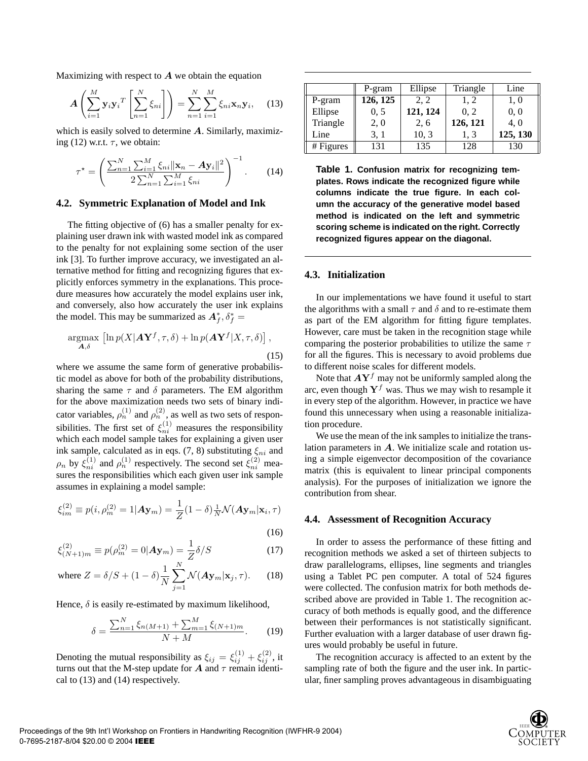Maximizing with respect to  $\boldsymbol{A}$  we obtain the equation

$$
A\left(\sum_{i=1}^{M} \mathbf{y}_{i} \mathbf{y}_{i}^{T}\left[\sum_{n=1}^{N} \xi_{ni}\right]\right) = \sum_{n=1}^{N} \sum_{i=1}^{M} \xi_{ni} \mathbf{x}_{n} \mathbf{y}_{i}, \quad (13)
$$

which is easily solved to determine  $A$ . Similarly, maximizing (12) w.r.t.  $\tau$ , we obtain:

$$
\tau^* = \left(\frac{\sum_{n=1}^N \sum_{i=1}^M \xi_{ni} ||\mathbf{x}_n - A\mathbf{y}_i||^2}{2\sum_{n=1}^N \sum_{i=1}^M \xi_{ni}}\right)^{-1}.
$$
 (14)

#### **4.2. Symmetric Explanation of Model and Ink**

The fitting objective of (6) has a smaller penalty for explaining user drawn ink with wasted model ink as compared to the penalty for not explaining some section of the user ink [3]. To further improve accuracy, we investigated an alternative method for fitting and recognizing figures that explicitly enforces symmetry in the explanations. This procedure measures how accurately the model explains user ink, and conversely, also how accurately the user ink explains the model. This may be summarized as  $A_f^*, \delta_f^* =$ 

$$
\underset{\mathbf{A},\delta}{\text{argmax}} \left[ \ln p(X|\mathbf{A}\mathbf{Y}^f,\tau,\delta) + \ln p(\mathbf{A}\mathbf{Y}^f|X,\tau,\delta) \right],\tag{15}
$$

where we assume the same form of generative probabilistic model as above for both of the probability distributions, sharing the same  $\tau$  and  $\delta$  parameters. The EM algorithm for the above maximization needs two sets of binary indicator variables,  $\rho_n^{(1)}$  and  $\rho_n^{(2)}$ , as well as two sets of responsibilities. The first set of  $\xi_{ni}^{(1)}$  measures the responsibility which each model sample takes for explaining a given user ink sample, calculated as in eqs. (7, 8) substituting  $\xi_{ni}$  and  $\rho_n$  by  $\xi_{ni}^{(1)}$  and  $\rho_n^{(1)}$  respectively. The second set  $\xi_{ni}^{(2)}$  measures the responsibilities which each given user ink sample assumes in explaining a model sample:

$$
\xi_{im}^{(2)} \equiv p(i, \rho_m^{(2)} = 1 | \mathbf{A} \mathbf{y}_m) = \frac{1}{Z} (1 - \delta) \frac{1}{N} \mathcal{N}(\mathbf{A} \mathbf{y}_m | \mathbf{x}_i, \tau)
$$

$$
(16)
$$

$$
\xi_{(N+1)m}^{(2)} \equiv p(\rho_m^{(2)} = 0 | \mathbf{A} \mathbf{y}_m) = \frac{1}{Z} \delta / S \tag{17}
$$

where 
$$
Z = \delta/S + (1 - \delta) \frac{1}{N} \sum_{j=1}^{N} \mathcal{N}(\mathbf{A} \mathbf{y}_m | \mathbf{x}_j, \tau).
$$
 (18)

Hence,  $\delta$  is easily re-estimated by maximum likelihood,

$$
\delta = \frac{\sum_{n=1}^{N} \xi_n(M+1) + \sum_{m=1}^{M} \xi(N+1)m}{N+M}.
$$
 (19)

Denoting the mutual responsibility as  $\xi_{ij} = \xi_{ij}^{(1)} + \xi_{ij}^{(2)}$ , it turns out that the M-step update for A and  $\tau$  remain identical to (13) and (14) respectively.

|           | P-gram   | Ellipse  | Triangle | Line     |
|-----------|----------|----------|----------|----------|
| P-gram    | 126, 125 | 2, 2     | 1, 2     | 1, 0     |
| Ellipse   | 0, 5     | 121, 124 | 0, 2     | 0, 0     |
| Triangle  | 2, 0     | 2, 6     | 126, 121 | 4.0      |
| Line      | 3, 1     | 10, 3    | 1, 3     | 125, 130 |
| # Figures | 131      | 135      | 128      | 130      |

**Table 1. Confusion matrix for recognizing templates. Rows indicate the recognized figure while columns indicate the true figure. In each column the accuracy of the generative model based method is indicated on the left and symmetric scoring scheme is indicated on the right. Correctly recognized figures appear on the diagonal.**

### **4.3. Initialization**

In our implementations we have found it useful to start the algorithms with a small  $\tau$  and  $\delta$  and to re-estimate them as part of the EM algorithm for fitting figure templates. However, care must be taken in the recognition stage while comparing the posterior probabilities to utilize the same  $\tau$ for all the figures. This is necessary to avoid problems due to different noise scales for different models.

Note that  $AY<sup>f</sup>$  may not be uniformly sampled along the arc, even though  $Y<sup>f</sup>$  was. Thus we may wish to resample it in every step of the algorithm. However, in practice we have found this unnecessary when using a reasonable initialization procedure.

We use the mean of the ink samples to initialize the translation parameters in A. We initialize scale and rotation using a simple eigenvector decomposition of the covariance matrix (this is equivalent to linear principal components analysis). For the purposes of initialization we ignore the contribution from shear.

#### **4.4. Assessment of Recognition Accuracy**

In order to assess the performance of these fitting and recognition methods we asked a set of thirteen subjects to draw parallelograms, ellipses, line segments and triangles using a Tablet PC pen computer. A total of 524 figures were collected. The confusion matrix for both methods described above are provided in Table 1. The recognition accuracy of both methods is equally good, and the difference between their performances is not statistically significant. Further evaluation with a larger database of user drawn figures would probably be useful in future.

The recognition accuracy is affected to an extent by the sampling rate of both the figure and the user ink. In particular, finer sampling proves advantageous in disambiguating

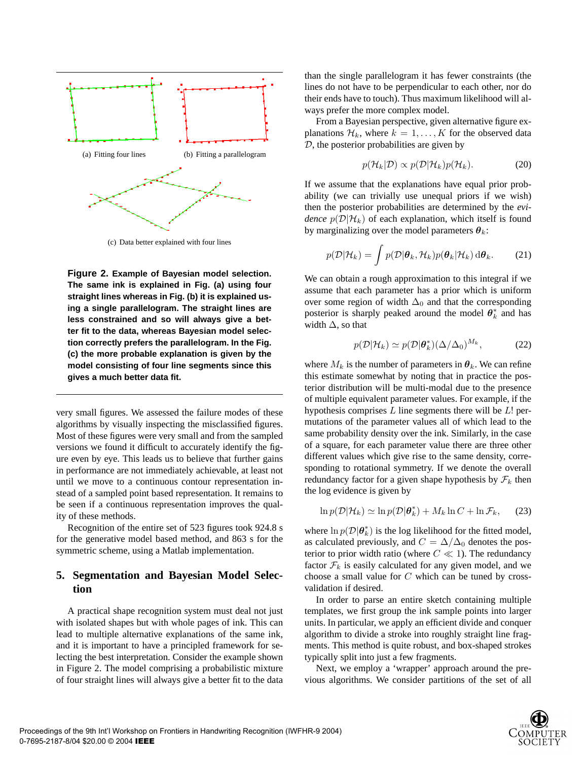

(c) Data better explained with four lines

**Figure 2. Example of Bayesian model selection. The same ink is explained in Fig. (a) using four straight lines whereas in Fig. (b) it is explained using a single parallelogram. The straight lines are less constrained and so will always give a better fit to the data, whereas Bayesian model selection correctly prefers the parallelogram. In the Fig. (c) the more probable explanation is given by the model consisting of four line segments since this gives a much better data fit.**

very small figures. We assessed the failure modes of these algorithms by visually inspecting the misclassified figures. Most of these figures were very small and from the sampled versions we found it difficult to accurately identify the figure even by eye. This leads us to believe that further gains in performance are not immediately achievable, at least not until we move to a continuous contour representation instead of a sampled point based representation. It remains to be seen if a continuous representation improves the quality of these methods.

Recognition of the entire set of 523 figures took 924.8 s for the generative model based method, and 863 s for the symmetric scheme, using a Matlab implementation.

## **5. Segmentation and Bayesian Model Selection**

A practical shape recognition system must deal not just with isolated shapes but with whole pages of ink. This can lead to multiple alternative explanations of the same ink, and it is important to have a principled framework for selecting the best interpretation. Consider the example shown in Figure 2. The model comprising a probabilistic mixture of four straight lines will always give a better fit to the data

than the single parallelogram it has fewer constraints (the lines do not have to be perpendicular to each other, nor do their ends have to touch). Thus maximum likelihood will always prefer the more complex model.

From a Bayesian perspective, given alternative figure explanations  $\mathcal{H}_k$ , where  $k = 1, \ldots, K$  for the observed data  $D$ , the posterior probabilities are given by

$$
p(\mathcal{H}_k|\mathcal{D}) \propto p(\mathcal{D}|\mathcal{H}_k)p(\mathcal{H}_k).
$$
 (20)

If we assume that the explanations have equal prior probability (we can trivially use unequal priors if we wish) then the posterior probabilities are determined by the *evidence*  $p(\mathcal{D}|\mathcal{H}_k)$  of each explanation, which itself is found by marginalizing over the model parameters  $\theta_k$ :

$$
p(\mathcal{D}|\mathcal{H}_k) = \int p(\mathcal{D}|\boldsymbol{\theta}_k, \mathcal{H}_k) p(\boldsymbol{\theta}_k|\mathcal{H}_k) \, \mathrm{d}\boldsymbol{\theta}_k. \tag{21}
$$

We can obtain a rough approximation to this integral if we assume that each parameter has a prior which is uniform over some region of width  $\Delta_0$  and that the corresponding posterior is sharply peaked around the model  $\theta_k^*$  and has width  $\Delta$ , so that

$$
p(\mathcal{D}|\mathcal{H}_k) \simeq p(\mathcal{D}|\boldsymbol{\theta}_k^*)(\Delta/\Delta_0)^{M_k},
$$
 (22)

where  $M_k$  is the number of parameters in  $\theta_k$ . We can refine this estimate somewhat by noting that in practice the posterior distribution will be multi-modal due to the presence of multiple equivalent parameter values. For example, if the hypothesis comprises  $L$  line segments there will be  $L!$  permutations of the parameter values all of which lead to the same probability density over the ink. Similarly, in the case of a square, for each parameter value there are three other different values which give rise to the same density, corresponding to rotational symmetry. If we denote the overall redundancy factor for a given shape hypothesis by  $\mathcal{F}_k$  then the log evidence is given by

$$
\ln p(\mathcal{D}|\mathcal{H}_k) \simeq \ln p(\mathcal{D}|\boldsymbol{\theta}_k^*) + M_k \ln C + \ln \mathcal{F}_k, \qquad (23)
$$

where  $\ln p(\mathcal{D}|\boldsymbol{\theta}_k^*)$  is the log likelihood for the fitted model, as calculated previously, and  $C = \Delta/\Delta_0$  denotes the posterior to prior width ratio (where  $C \ll 1$ ). The redundancy factor  $\mathcal{F}_k$  is easily calculated for any given model, and we choose a small value for C which can be tuned by crossvalidation if desired.

In order to parse an entire sketch containing multiple templates, we first group the ink sample points into larger units. In particular, we apply an efficient divide and conquer algorithm to divide a stroke into roughly straight line fragments. This method is quite robust, and box-shaped strokes typically split into just a few fragments.

Next, we employ a 'wrapper' approach around the previous algorithms. We consider partitions of the set of all